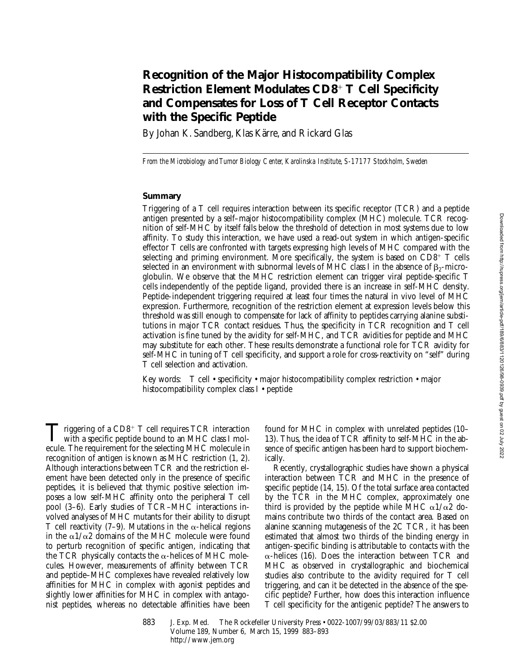# **Recognition of the Major Histocompatibility Complex Restriction Element Modulates CD8**<sup>1</sup> **T Cell Specificity and Compensates for Loss of T Cell Receptor Contacts with the Specific Peptide**

By Johan K. Sandberg, Klas Kärre, and Rickard Glas

*From the Microbiology and Tumor Biology Center, Karolinska Institute, S-17177 Stockholm, Sweden*

## **Summary**

Triggering of a T cell requires interaction between its specific receptor (TCR) and a peptide antigen presented by a self–major histocompatibility complex (MHC) molecule. TCR recognition of self-MHC by itself falls below the threshold of detection in most systems due to low affinity. To study this interaction, we have used a read-out system in which antigen-specific effector T cells are confronted with targets expressing high levels of MHC compared with the selecting and priming environment. More specifically, the system is based on  $CD8^+$  T cells selected in an environment with subnormal levels of MHC class I in the absence of  $\beta_2$ -microglobulin. We observe that the MHC restriction element can trigger viral peptide-specific T cells independently of the peptide ligand, provided there is an increase in self-MHC density. Peptide-independent triggering required at least four times the natural in vivo level of MHC expression. Furthermore, recognition of the restriction element at expression levels below this threshold was still enough to compensate for lack of affinity to peptides carrying alanine substitutions in major TCR contact residues. Thus, the specificity in TCR recognition and T cell activation is fine tuned by the avidity for self-MHC, and TCR avidities for peptide and MHC may substitute for each other. These results demonstrate a functional role for TCR avidity for self-MHC in tuning of T cell specificity, and support a role for cross-reactivity on "self" during T cell selection and activation.

Key words: T cell • specificity • major histocompatibility complex restriction • major histocompatibility complex class I • peptide

Triggering of a CD8<sup>+</sup> T cell requires TCR interaction<br>with a specific peptide bound to an MHC class I mol-<br>with a specific peptide bound to an MHC moleculating ecule. The requirement for the selecting MHC molecule in recognition of antigen is known as MHC restriction (1, 2). Although interactions between TCR and the restriction element have been detected only in the presence of specific peptides, it is believed that thymic positive selection imposes a low self-MHC affinity onto the peripheral T cell pool (3–6). Early studies of TCR–MHC interactions involved analyses of MHC mutants for their ability to disrupt T cell reactivity (7–9). Mutations in the  $\alpha$ -helical regions in the  $\alpha$ 1/ $\alpha$ 2 domains of the MHC molecule were found to perturb recognition of specific antigen, indicating that the TCR physically contacts the  $\alpha$ -helices of MHC molecules. However, measurements of affinity between TCR and peptide–MHC complexes have revealed relatively low affinities for MHC in complex with agonist peptides and slightly lower affinities for MHC in complex with antagonist peptides, whereas no detectable affinities have been

found for MHC in complex with unrelated peptides (10– 13). Thus, the idea of TCR affinity to self-MHC in the absence of specific antigen has been hard to support biochemically.

Recently, crystallographic studies have shown a physical interaction between TCR and MHC in the presence of specific peptide (14, 15). Of the total surface area contacted by the TCR in the MHC complex, approximately one third is provided by the peptide while MHC  $\alpha$ 1/ $\alpha$ 2 domains contribute two thirds of the contact area. Based on alanine scanning mutagenesis of the 2C TCR, it has been estimated that almost two thirds of the binding energy in antigen-specific binding is attributable to contacts with the  $\alpha$ -helices (16). Does the interaction between TCR and MHC as observed in crystallographic and biochemical studies also contribute to the avidity required for T cell triggering, and can it be detected in the absence of the specific peptide? Further, how does this interaction influence T cell specificity for the antigenic peptide? The answers to

883 J. Exp. Med. © The Rockefeller University Press • 0022-1007/99/03/883/11 \$2.00 Volume 189, Number 6, March 15, 1999 883–893 http://www.jem.org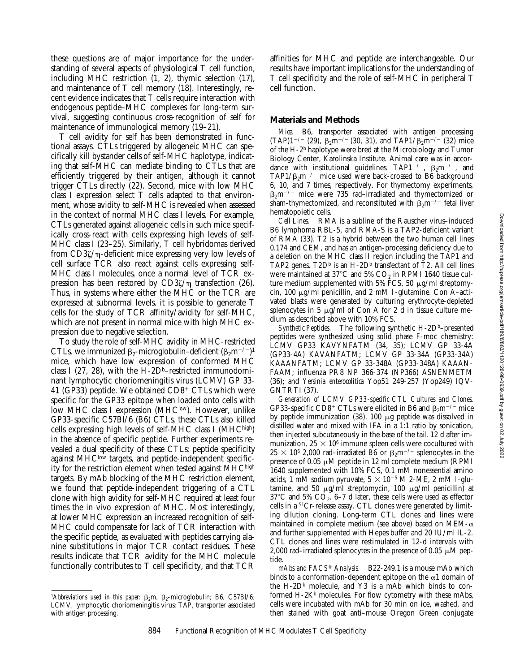these questions are of major importance for the understanding of several aspects of physiological T cell function, including MHC restriction (1, 2), thymic selection (17), and maintenance of T cell memory (18). Interestingly, recent evidence indicates that T cells require interaction with endogenous peptide–MHC complexes for long-term survival, suggesting continuous cross-recognition of self for maintenance of immunological memory (19–21).

T cell avidity for self has been demonstrated in functional assays. CTLs triggered by allogeneic MHC can specifically kill bystander cells of self-MHC haplotype, indicating that self-MHC can mediate binding to CTLs that are efficiently triggered by their antigen, although it cannot trigger CTLs directly (22). Second, mice with low MHC class I expression select T cells adapted to that environment, whose avidity to self-MHC is revealed when assessed in the context of normal MHC class I levels. For example, CTLs generated against allogeneic cells in such mice specifically cross-react with cells expressing high levels of self-MHC class I (23–25). Similarly, T cell hybridomas derived from  $CD3\zeta/\eta$ -deficient mice expressing very low levels of cell surface TCR also react against cells expressing self-MHC class I molecules, once a normal level of TCR expression has been restored by  $CD3\zeta/\eta$  transfection (26). Thus, in systems where either the MHC or the TCR are expressed at subnormal levels, it is possible to generate T cells for the study of TCR affinity/avidity for self-MHC, which are not present in normal mice with high MHC expression due to negative selection.

To study the role of self-MHC avidity in MHC-restricted CTLs, we immunized  $\beta_2$ -microglobulin–deficient  $(\beta_2 m^{-/-})^1$ mice, which have low expression of conformed MHC class I (27, 28), with the  $H$ -2D<sup>b</sup>–restricted immunodominant lymphocytic choriomeningitis virus (LCMV) GP 33- 41 (GP33) peptide. We obtained  $CD8<sup>+</sup> CTLs$  which were specific for the GP33 epitope when loaded onto cells with low MHC class I expression (MHClow). However, unlike GP33-specific C57Bl/6 (B6) CTLs, these CTLs also killed cells expressing high levels of self-MHC class I (MHChigh) in the absence of specific peptide. Further experiments revealed a dual specificity of these CTLs: peptide specificity against  $MHC<sup>low</sup>$  targets, and peptide-independent specificity for the restriction element when tested against MHChigh targets. By mAb blocking of the MHC restriction element, we found that peptide-independent triggering of a CTL clone with high avidity for self-MHC required at least four times the in vivo expression of MHC. Most interestingly, at lower MHC expression an increased recognition of self-MHC could compensate for lack of TCR interaction with the specific peptide, as evaluated with peptides carrying alanine substitutions in major TCR contact residues. These results indicate that TCR avidity for the MHC molecule functionally contributes to T cell specificity, and that TCR

<sup>1</sup>Abbreviations used in this paper:  $\beta_2$ m,  $\beta_2$ -microglobulin; B6, C57Bl/6; LCMV, lymphocytic choriomeningitis virus; TAP, transporter associated with antigen processing.

affinities for MHC and peptide are interchangeable. Our results have important implications for the understanding of T cell specificity and the role of self-MHC in peripheral T cell function.

## **Materials and Methods**

*Mice.* B6, transporter associated with antigen processing  $(TAP)1^{-/-}$  (29),  $\beta_2$ m<sup>-/-</sup> (30, 31), and TAP1/ $\beta_2$ m<sup>-/-</sup> (32) mice of the H-2b haplotype were bred at the Microbiology and Tumor Biology Center, Karolinska Institute. Animal care was in accordance with institutional guidelines. TAP1<sup>-/-</sup>,  $\beta_2$ m<sup>-/-</sup>, and TAP1/ $\beta_2$ m<sup>-/-</sup> mice used were back-crossed to B6 background 6, 10, and 7 times, respectively. For thymectomy experiments,  $\beta_2$ m<sup>-/-</sup> mice were 735 rad–irradiated and thymectomized or sham-thymectomized, and reconstituted with  $\beta_2 m^{-1}$  fetal liver hematopoietic cells.

*Cell Lines.* RMA is a subline of the Rauscher virus–induced B6 lymphoma RBL-5, and RMA-S is a TAP2-deficient variant of RMA (33). T2 is a hybrid between the two human cell lines 0.174 and CEM, and has an antigen-processing deficiency due to a deletion on the MHC class II region including the TAP1 and TAP2 genes.  $T2D<sup>b</sup>$  is an H-2D<sup>b</sup> transfectant of T2. All cell lines were maintained at 37 $\mathrm{^{\circ}C}$  and 5%  $\mathrm{CO}_{2}$  in RPMI 1640 tissue culture medium supplemented with 5% FCS, 50  $\mu$ g/ml streptomycin, 100 mg/ml penicillin, and 2 mM l-glutamine. Con A–activated blasts were generated by culturing erythrocyte-depleted splenocytes in 5  $\mu$ g/ml of Con A for 2 d in tissue culture medium as described above with 10% FCS.

Synthetic Peptides. The following synthetic H-2D<sup>b</sup>-presented peptides were synthesized using solid phase F-moc chemistry: LCMV GP33 KAVYNFATM (34, 35); LCMV GP 33-4A (GP33-4A) KAVANFATM; LCMV GP 33-34A (GP33-34A) KAAANFATM; LCMV GP 33-348A (GP33-348A) KAAAN-FAAM; influenza PR8 NP 366-374 (NP366) ASNENMETM (36); and *Yersinia enterocolitica* Yop51 249-257 (Yop249) IQV-GNTRTI (37).

*Generation of LCMV GP33-specific CTL Cultures and Clones.* GP33-specific CD8<sup>+</sup> CTLs were elicited in B6 and  $\beta_2$ m<sup>-/-</sup> mice by peptide immunization  $(38)$ . 100  $\mu$ g peptide was dissolved in distilled water and mixed with IFA in a 1:1 ratio by sonication, then injected subcutaneously in the base of the tail. 12 d after immunization,  $25 \times 10^6$  immune spleen cells were cocultured with  $25 \times 10^6$  2,000 rad–irradiated B6 or  $\beta_2$ m<sup>-/-</sup> splenocytes in the presence of 0.05  $\mu$ M peptide in 12 ml complete medium (RPMI 1640 supplemented with 10% FCS, 0.1 mM nonessential amino acids, 1 mM sodium pyruvate,  $5 \times 10^{-5}$  M 2-ME, 2 mM l-glutamine, and 50  $\mu$ g/ml streptomycin, 100  $\mu$ g/ml penicillin) at 37 $\degree$ C and 5% CO<sub>2</sub>. 6–7 d later, these cells were used as effector cells in a 51Cr-release assay. CTL clones were generated by limiting dilution cloning. Long-term CTL clones and lines were maintained in complete medium (see above) based on MEM- $\alpha$ and further supplemented with Hepes buffer and 20 IU/ml IL-2. CTL clones and lines were restimulated in 12-d intervals with 2,000 rad–irradiated splenocytes in the presence of 0.05  $\mu$ M peptide.

*mAbs and FACS® Analysis.* B22-249.1 is a mouse mAb which binds to a conformation-dependent epitope on the  $\alpha$ 1 domain of the H-2D<sup>b</sup> molecule, and Y3 is a mAb which binds to conformed  $H-2K^b$  molecules. For flow cytometry with these mAbs, cells were incubated with mAb for 30 min on ice, washed, and then stained with goat anti–mouse Oregon Green conjugate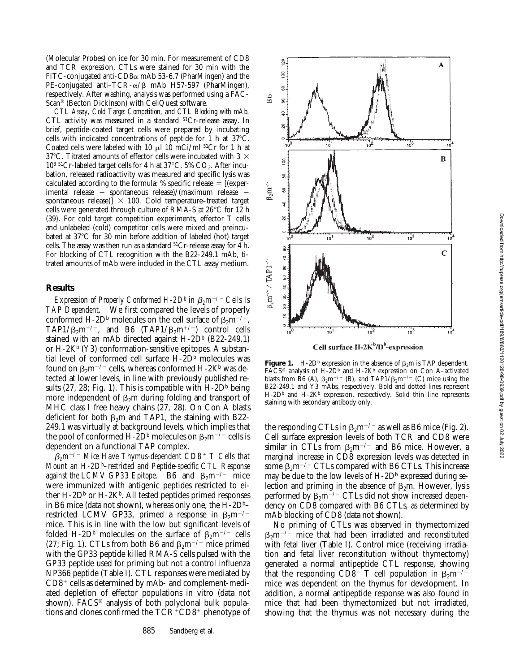(Molecular Probes) on ice for 30 min. For measurement of CD8 and TCR expression, CTLs were stained for 30 min with the FITC-conjugated anti-CD8 $\alpha$  mAb 53-6.7 (PharMingen) and the PE-conjugated anti–TCR- $\alpha$ / $\beta$  mAb H57-597 (PharMingen), respectively. After washing, analysis was performed using a FAC-Scan® (Becton Dickinson) with CellQuest software.

*CTL Assay, Cold Target Competition, and CTL Blocking with mAb.* CTL activity was measured in a standard <sup>51</sup>Cr-release assay. In brief, peptide-coated target cells were prepared by incubating cells with indicated concentrations of peptide for  $1$  h at  $37^{\circ}$ C. Coated cells were labeled with 10  $\mu$ l 10 mCi/ml <sup>51</sup>Cr for 1 h at 37°C. Titrated amounts of effector cells were incubated with 3  $\times$  $10^{3}$  <sup>51</sup>Cr-labeled target cells for 4 h at 37°C, 5% CO<sub>2</sub>. After incubation, released radioactivity was measured and specific lysis was calculated according to the formula: % specific release  $=$  [(experimental release  $-$  spontaneous release)/(maximum release  $$ spontaneous release) $\overline{]} \times 100$ . Cold temperature–treated target cells were generated through culture of RMA-S at  $26^{\circ}$ C for 12 h (39). For cold target competition experiments, effector T cells and unlabeled (cold) competitor cells were mixed and preincubated at 37°C for 30 min before addition of labeled (hot) target cells. The assay was then run as a standard  $51Cr$ -release assay for 4 h. For blocking of CTL recognition with the B22-249.1 mAb, titrated amounts of mAb were included in the CTL assay medium.

#### **Results**

*Expression of Properly Conformed H-2D<sup>b</sup> in*  $\beta_2 m^{-/-}$  *Cells Is TAP Dependent.* We first compared the levels of properly conformed H-2D<sup>b</sup> molecules on the cell surface of  $\beta_2 m^{-1}$ , TAP1/ $\beta_2$ m<sup>-/-</sup>, and B6 (TAP1/ $\beta_2$ m<sup>+/+</sup>) control cells stained with an mAb directed against H-2D<sup>b</sup> (B22-249.1) or  $H-2K^b$  (Y3) conformation-sensitive epitopes. A substantial level of conformed cell surface H-2D<sup>b</sup> molecules was found on  $\beta_2 m^{-/-}$  cells, whereas conformed H-2K<sup>b</sup> was detected at lower levels, in line with previously published results (27, 28; Fig. 1). This is compatible with  $H-2D<sup>b</sup>$  being more independent of  $\beta_2$ m during folding and transport of MHC class I free heavy chains (27, 28). On Con A blasts deficient for both  $\beta_2$ m and TAP1, the staining with B22-249.1 was virtually at background levels, which implies that the pool of conformed H-2D<sup>b</sup> molecules on  $\beta_2$ m<sup>-/-</sup> cells is dependent on a functional TAP complex.

b*2m*2*/*2 *Mice Have Thymus-dependent CD8*1 *T Cells that Mount an H-2Db –restricted and Peptide-specific CTL Response against the LCMV GP33 Epitope.* B6 and  $\beta_2$ m<sup>-/-</sup> mice were immunized with antigenic peptides restricted to either  $H-2D<sup>b</sup>$  or  $H-2K<sup>b</sup>$ . All tested peptides primed responses in B6 mice (data not shown), whereas only one, the  $H$ -2D<sup>b</sup>– restricted LCMV GP33, primed a response in  $\beta_2 m^{-1}$ mice. This is in line with the low but significant levels of folded H-2D<sup>b</sup> molecules on the surface of  $\beta_2 m^{-1}$  cells (27; Fig. 1). CTLs from both B6 and  $\beta_2$ m<sup>-/-</sup> mice primed with the GP33 peptide killed RMA-S cells pulsed with the GP33 peptide used for priming but not a control influenza NP366 peptide (Table I). CTL responses were mediated by  $CD8<sup>+</sup>$  cells as determined by mAb- and complement-mediated depletion of effector populations in vitro (data not shown). FACS® analysis of both polyclonal bulk populations and clones confirmed the  $T\bar{C}R^+CD8^+$  phenotype of



Cell surface H-2K<sup>b</sup>/D<sup>b</sup>-expression

**Figure 1.** H-2D<sup>b</sup> expression in the absence of  $\beta_2$ m is TAP dependent. FACS<sup>®</sup> analysis of H-2D<sup>b</sup> and H-2K<sup>b</sup> expression on Con A-activated blasts from B6 (A),  $\beta_2 m^{-/-}$  (B), and TAP1/ $\beta_2 m^{-/-}$  (C) mice using the B22-249.1 and Y3 mAbs, respectively. Bold and dotted lines represent  $H-2D<sup>b</sup>$  and  $H-2K<sup>b</sup>$  expression, respectively. Solid thin line represents staining with secondary antibody only.

the responding CTLs in  $\beta_2$ m<sup>-/-</sup> as well as B6 mice (Fig. 2). Cell surface expression levels of both TCR and CD8 were similar in CTLs from  $\beta_2 m^{-/-}$  and B6 mice. However, a marginal increase in CD8 expression levels was detected in some  $\beta_2$ m<sup>-/-</sup> CTLs compared with B6 CTLs. This increase may be due to the low levels of  $H$ -2D<sup>b</sup> expressed during selection and priming in the absence of  $\beta_2$ m. However, lysis performed by  $\beta_2 m^{-/-}$  CTLs did not show increased dependency on CD8 compared with B6 CTLs, as determined by mAb blocking of CD8 (data not shown).

No priming of CTLs was observed in thymectomized  $\beta_2$ m<sup>-/-</sup> mice that had been irradiated and reconstituted with fetal liver (Table I). Control mice (receiving irradiation and fetal liver reconstitution without thymectomy) generated a normal antipeptide CTL response, showing that the responding CD8<sup>+</sup> T cell population in  $\beta_2$ m<sup>-/2</sup> mice was dependent on the thymus for development. In addition, a normal antipeptide response was also found in mice that had been thymectomized but not irradiated, showing that the thymus was not necessary during the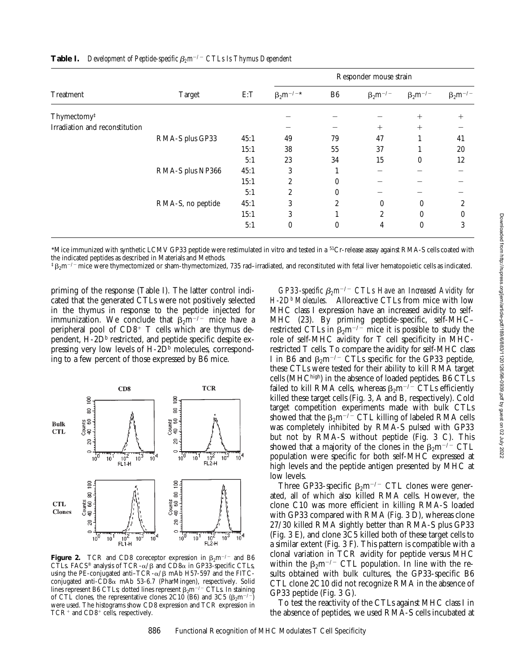| Treatment                      | <b>Target</b>     | E:T  | Responder mouse strain |                  |                   |                   |                   |
|--------------------------------|-------------------|------|------------------------|------------------|-------------------|-------------------|-------------------|
|                                |                   |      | $\beta_2 m^{-/-*}$     | B <sub>6</sub>   | $\beta_2 m^{-/-}$ | $\beta_2 m^{-/-}$ | $\beta_2 m^{-/-}$ |
| Thymectomy <sup>‡</sup>        |                   |      |                        |                  |                   | $^{+}$            | $^{+}$            |
| Irradiation and reconstitution |                   |      |                        |                  | $^{+}$            | $^{+}$            |                   |
|                                | RMA-S plus GP33   | 45:1 | 49                     | 79               | 47                |                   | 41                |
|                                |                   | 15:1 | 38                     | 55               | 37                |                   | 20                |
|                                |                   | 5:1  | 23                     | 34               | 15                | $\theta$          | 12                |
|                                | RMA-S plus NP366  | 45:1 | 3                      |                  |                   |                   |                   |
|                                |                   | 15:1 | $\overline{2}$         | $\theta$         |                   |                   |                   |
|                                |                   | 5:1  | $\overline{c}$         | $\theta$         |                   |                   |                   |
|                                | RMA-S, no peptide | 45:1 | 3                      | 2                | $\mathbf{0}$      | $\boldsymbol{0}$  | 2                 |
|                                |                   | 15:1 | 3                      |                  | $\overline{2}$    | $\theta$          | 0                 |
|                                |                   | 5:1  | $\boldsymbol{0}$       | $\boldsymbol{0}$ | 4                 | $\boldsymbol{0}$  | 3                 |

## **Table I.** *Development of Peptide-specific*  $\beta_2 m^{-2}$  *CTLs Is Thymus Dependent*

\*Mice immunized with synthetic LCMV GP33 peptide were restimulated in vitro and tested in a 51Cr-release assay against RMA-S cells coated with the indicated peptides as described in Materials and Methods.

 $\frac{1}{2}B_2m^{-1}$  mice were thymectomized or sham-thymectomized, 735 rad–irradiated, and reconstituted with fetal liver hematopoietic cells as indicated.

priming of the response (Table I). The latter control indicated that the generated CTLs were not positively selected in the thymus in response to the peptide injected for immunization. We conclude that  $\beta_2 m^{-1}$  mice have a peripheral pool of  $CD8<sup>+</sup>$  T cells which are thymus dependent, H-2D<sup>b</sup> restricted, and peptide specific despite expressing very low levels of  $H$ -2D<sup>b</sup> molecules, corresponding to a few percent of those expressed by B6 mice.



**Figure 2.** TCR and CD8 coreceptor expression in  $\beta_2$ m<sup>-/-</sup> and B6 CTLs. FACS<sup>®</sup> analysis of TCR- $\alpha$ / $\beta$  and CD8 $\alpha$  in GP33-specific CTLs, using the PE-conjugated anti-TCR- $\alpha$ / $\beta$  mAb H57-597 and the FITCconjugated anti- $CD8\alpha$  mAb 53-6.7 (PharMingen), respectively. Solid lines represent B6 CTLs; dotted lines represent  $\beta_2 m^{-1}$  CTLs. In staining of CTL clones, the representative clones 2C10 (B6) and 3C5 ( $\beta_2$ m<sup>-/-</sup>) were used. The histograms show CD8 expression and TCR expression in  $TCR<sup>+</sup>$  and  $CD8<sup>+</sup>$  cells, respectively.

*GP33-specific*  $\beta_2 m^{-1}$  *CTLs Have an Increased Avidity for H-2Db Molecules.* Alloreactive CTLs from mice with low MHC class I expression have an increased avidity to self-MHC (23). By priming peptide-specific, self-MHC– restricted CTLs in  $\beta_2 m^{-/-}$  mice it is possible to study the role of self-MHC avidity for T cell specificity in MHCrestricted T cells. To compare the avidity for self-MHC class I in B6 and  $\beta_2 m^{-/-}$  CTLs specific for the GP33 peptide, these CTLs were tested for their ability to kill RMA target cells (MHChigh) in the absence of loaded peptides. B6 CTLs failed to kill RMA cells, whereas  $\beta_2 m^{-1}$  CTLs efficiently killed these target cells (Fig. 3, A and B, respectively). Cold target competition experiments made with bulk CTLs showed that the  $\beta_2 m^{-/-}$  CTL killing of labeled RMA cells was completely inhibited by RMA-S pulsed with GP33 but not by RMA-S without peptide (Fig. 3 C). This showed that a majority of the clones in the  $\beta_2 m^{-/-}$  CTL population were specific for both self-MHC expressed at high levels and the peptide antigen presented by MHC at low levels.

Three GP33-specific  $\beta_2$ m<sup>-/-</sup> CTL clones were generated, all of which also killed RMA cells. However, the clone C10 was more efficient in killing RMA-S loaded with GP33 compared with RMA (Fig. 3 D), whereas clone 27/30 killed RMA slightly better than RMA-S plus GP33 (Fig. 3 E), and clone 3C5 killed both of these target cells to a similar extent (Fig. 3 F). This pattern is compatible with a clonal variation in TCR avidity for peptide versus MHC within the  $\beta_2 m^{-/-}$  CTL population. In line with the results obtained with bulk cultures, the GP33-specific B6 CTL clone 2C10 did not recognize RMA in the absence of GP33 peptide (Fig. 3 G).

To test the reactivity of the CTLs against MHC class I in the absence of peptides, we used RMA-S cells incubated at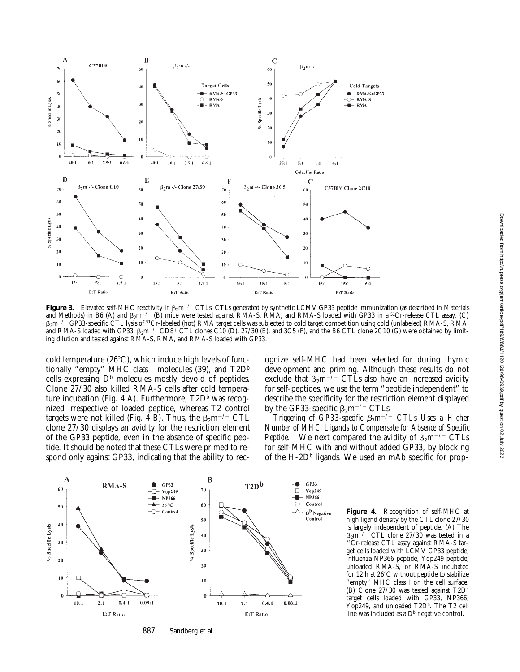

**Figure 3.** Elevated self-MHC reactivity in  $\beta_2 m^{-/-}$  CTLs. CTLs generated by synthetic LCMV GP33 peptide immunization (as described in Materials and Methods) in B6 (A) and  $\beta_2$ m<sup>-/-</sup> (B) mice were tested against RMA-S, RMA, and RMA-S loaded with GP33 in a <sup>51</sup>Cr-release CTL assay. (C)  $\beta_2$ m<sup>-/-</sup> GP33-specific CTL lysis of <sup>51</sup>Cr-labeled (hot) RMA target cells was subjected to cold target competition using cold (unlabeled) RMA-S, RMA, and RMA-S loaded with GP33.  $\beta_2$ m<sup>-/-</sup> CD8<sup>+</sup> CTL clones C10 (D), 27/30 (E), and 3C5 (F), and the B6 CTL clone 2C10 (G) were obtained by limiting dilution and tested against RMA-S, RMA, and RMA-S loaded with GP33.

cold temperature  $(26^{\circ}C)$ , which induce high levels of functionally "empty" MHC class I molecules (39), and  $T2D^b$ cells expressing  $D^b$  molecules mostly devoid of peptides. Clone 27/30 also killed RMA-S cells after cold temperature incubation (Fig. 4 A). Furthermore,  $T2D<sup>b</sup>$  was recognized irrespective of loaded peptide, whereas T2 control targets were not killed (Fig. 4 B). Thus, the  $\beta_2$ m<sup>-/-</sup> CTL clone 27/30 displays an avidity for the restriction element of the GP33 peptide, even in the absence of specific peptide. It should be noted that these CTLs were primed to respond only against GP33, indicating that the ability to recognize self-MHC had been selected for during thymic development and priming. Although these results do not exclude that  $\beta_2 m^{-/-}$  CTLs also have an increased avidity for self-peptides, we use the term "peptide independent" to describe the specificity for the restriction element displayed by the GP33-specific  $\beta_2$ m<sup>-/-</sup> CTLs.

*Triggering of GP33-specific*  $\beta_2 m^{-/-}$  *CTLs Uses a Higher Number of MHC Ligands to Compensate for Absence of Specific Peptide.* We next compared the avidity of  $\beta_2 m^{-1}$  CTLs for self-MHC with and without added GP33, by blocking of the H-2D $\frac{b}{c}$  ligands. We used an mAb specific for prop-



887 Sandberg et al.

**Figure 4.** Recognition of self-MHC at high ligand density by the CTL clone 27/30 is largely independent of peptide. (A) The  $\beta_2$ m<sup>-/-</sup> CTL clone 27/30 was tested in a  $b^{51}$ Cr-release CTL assay against RMA-S target cells loaded with LCMV GP33 peptide, influenza NP366 peptide, Yop249 peptide, unloaded RMA-S, or RMA-S incubated for 12 h at  $26^{\circ}$ C without peptide to stabilize "empty" MHC class I on the cell surface. (B) Clone  $27/30$  was tested against  $T2D<sup>b</sup>$ target cells loaded with GP33, NP366, Yop249, and unloaded T2D<sup>b</sup>. The T2 cell line was included as a  $D<sup>b</sup>$  negative control.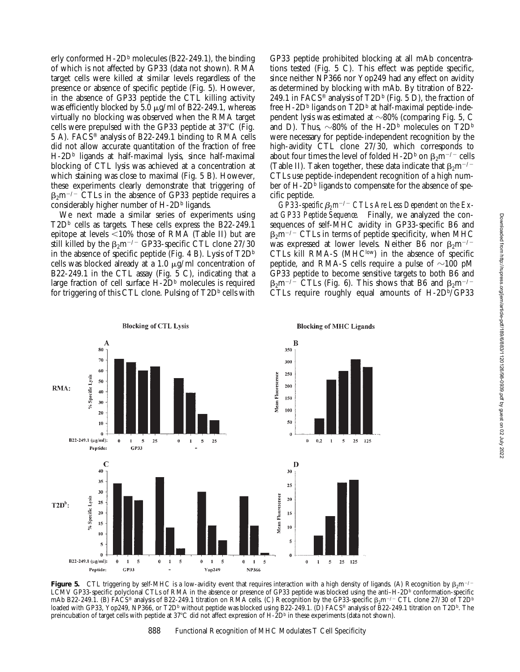erly conformed  $H$ -2D<sup>b</sup> molecules (B22-249.1), the binding of which is not affected by GP33 (data not shown). RMA target cells were killed at similar levels regardless of the presence or absence of specific peptide (Fig. 5). However, in the absence of GP33 peptide the CTL killing activity was efficiently blocked by 5.0  $\mu$ g/ml of B22-249.1, whereas virtually no blocking was observed when the RMA target cells were prepulsed with the GP33 peptide at  $37^{\circ}$ C (Fig. 5 A). FACS® analysis of B22-249.1 binding to RMA cells did not allow accurate quantitation of the fraction of free  $H-\mathcal{2}D^b$  ligands at half-maximal lysis, since half-maximal blocking of CTL lysis was achieved at a concentration at which staining was close to maximal (Fig. 5 B). However, these experiments clearly demonstrate that triggering of  $\beta_2$ m<sup>-/-</sup> CTLs in the absence of GP33 peptide requires a considerably higher number of  $H$ -2D $\frac{b}{n}$  ligands.

We next made a similar series of experiments using  $T2D<sup>b</sup>$  cells as targets. These cells express the B22-249.1 epitope at levels  $\leq 10\%$  those of RMA (Table II) but are still killed by the  $\beta_2$ m<sup>-/-</sup> GP33-specific CTL clone 27/30 in the absence of specific peptide (Fig. 4 B). Lysis of  $T2D^b$ cells was blocked already at a 1.0  $\mu$ g/ml concentration of B22-249.1 in the CTL assay (Fig. 5 C), indicating that a large fraction of cell surface  $H$ -2D<sup>b</sup> molecules is required for triggering of this CTL clone. Pulsing of  $T2D<sup>b</sup>$  cells with

GP33 peptide prohibited blocking at all mAb concentrations tested (Fig. 5 C). This effect was peptide specific, since neither NP366 nor Yop249 had any effect on avidity as determined by blocking with mAb. By titration of B22- 249.1 in FACS<sup>®</sup> analysis of T2D<sup>b</sup> (Fig. 5 D), the fraction of free H-2D<sup>b</sup> ligands on  $T2D<sup>b</sup>$  at half-maximal peptide-independent lysis was estimated at  $\sim$ 80% (comparing Fig. 5, C and D). Thus,  $\sim 80\%$  of the H-2D<sup>b</sup> molecules on T2D<sup>b</sup> were necessary for peptide-independent recognition by the high-avidity CTL clone 27/30, which corresponds to about four times the level of folded H-2D<sup>b</sup> on  $\beta_2$ m<sup>-/-</sup> cells (Table II). Taken together, these data indicate that  $\beta_2 m^{-2}$ CTLs use peptide-independent recognition of a high number of H-2D<sup>b</sup> ligands to compensate for the absence of specific peptide.

*GP33-specific*  $\beta_2 m^{-/-}$  *CTLs Are Less Dependent on the Exact GP33 Peptide Sequence.* Finally, we analyzed the consequences of self-MHC avidity in GP33-specific B6 and  $\beta_2$ m<sup>-/-</sup> CTLs in terms of peptide specificity, when MHC was expressed at lower levels. Neither B6 nor  $\beta_2$ m<sup>-/-</sup> CTLs kill RMA-S ( $MHC<sup>low</sup>$ ) in the absence of specific peptide, and RMA-S cells require a pulse of  $\sim$ 100 pM GP33 peptide to become sensitive targets to both B6 and  $\beta_2$ m<sup>-/-</sup> CTLs (Fig. 6). This shows that B6 and  $\beta_2$ m<sup>-/-</sup> CTLs require roughly equal amounts of H-2Db/GP33



**Figure 5.** CTL triggering by self-MHC is a low-avidity event that requires interaction with a high density of ligands. (A) Recognition by  $\beta_2 m^{-1}$ LCMV GP33-specific polyclonal CTLs of RMA in the absence or presence of GP33 peptide was blocked using the anti–H-2Db conformation-specific mAb B22-249.1. (B) FACS® analysis of B22-249.1 titration on RMA cells. (C) Recognition by the GP33-specific  $\beta_2$ m<sup>-/-</sup> CTL clone 27/30 of T2D<sup>b</sup> loaded with GP33, Yop249, NP366, or T2D<sup>b</sup> without peptide was blocked using B22-249.1. (D) FACS® analysis of B22-249.1 titration on T2D<sup>b</sup>. The preincubation of target cells with peptide at  $37^{\circ}$ C did not affect expression of H- $2D^{\circ}$  in these experiments (data not shown).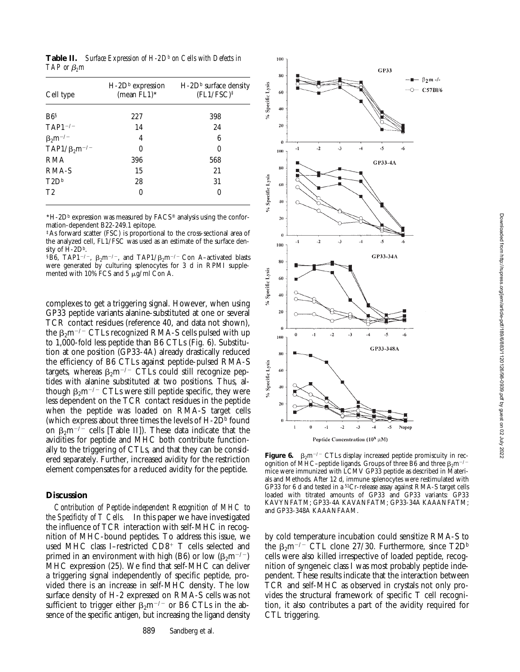**Table II.** Surface Expression of H-2D<sup>b</sup> on Cells with Defects in *TAP* or *β*<sub>2</sub>*m* 

| Cell type              | $H$ -2D <sup>b</sup> expression<br>(mean $FL1$ )* | $H$ -2D <sup>b</sup> surface density<br>$(FL1/FSC)^{\ddagger}$ |  |  |
|------------------------|---------------------------------------------------|----------------------------------------------------------------|--|--|
| B6 <sup>s</sup>        | 227                                               | 398                                                            |  |  |
| $TAP1^{-/-}$           | 14                                                | 24                                                             |  |  |
| $\beta_2 m^{-/-}$      | 4                                                 | 6                                                              |  |  |
| $TAP1/\beta_2 m^{-/-}$ | 0                                                 | 0                                                              |  |  |
| <b>RMA</b>             | 396                                               | 568                                                            |  |  |
| RMA-S                  | 15                                                | 21                                                             |  |  |
| T2D <sup>b</sup>       | 28                                                | 31                                                             |  |  |
| T <sub>2</sub>         | 0                                                 | 0                                                              |  |  |

 $*H-2D<sup>b</sup>$  expression was measured by  $FACS^{\circledast}$  analysis using the conformation-dependent B22-249.1 epitope.

‡As forward scatter (FSC) is proportional to the cross-sectional area of the analyzed cell, FL1/FSC was used as an estimate of the surface density of H-2Db.

<sup>§</sup>B6, TAP1<sup>-/-</sup>,  $\beta_2$ m<sup>-/-</sup>, and TAP1/ $\beta_2$ m<sup>-/-</sup> Con A-activated blasts were generated by culturing splenocytes for 3 d in RPMI supplemented with 10% FCS and  $5 \mu g/ml$  Con A.

complexes to get a triggering signal. However, when using GP33 peptide variants alanine-substituted at one or several TCR contact residues (reference 40, and data not shown), the  $\beta_2$ m<sup>-/-</sup> CTLs recognized RMA-S cells pulsed with up to 1,000-fold less peptide than B6 CTLs (Fig. 6). Substitution at one position (GP33-4A) already drastically reduced the efficiency of B6 CTLs against peptide-pulsed RMA-S targets, whereas  $\beta_2 m^{-/-}$  CTLs could still recognize peptides with alanine substituted at two positions. Thus, although  $\beta_2 m^{-1}$  CTLs were still peptide specific, they were less dependent on the TCR contact residues in the peptide when the peptide was loaded on RMA-S target cells (which express about three times the levels of  $H$ -2D<sup>b</sup> found on  $\beta_2$ m<sup>-/-</sup> cells [Table II]). These data indicate that the avidities for peptide and MHC both contribute functionally to the triggering of CTLs, and that they can be considered separately. Further, increased avidity for the restriction element compensates for a reduced avidity for the peptide.

## **Discussion**

*Contribution of Peptide-independent Recognition of MHC to the Specificity of T Cells.* In this paper we have investigated the influence of TCR interaction with self-MHC in recognition of MHC-bound peptides. To address this issue, we used MHC class I-restricted CD8<sup>+</sup> T cells selected and primed in an environment with high (B6) or low ( $\beta_2$ m<sup>-/-</sup>) MHC expression (25). We find that self-MHC can deliver a triggering signal independently of specific peptide, provided there is an increase in self-MHC density. The low surface density of H-2 expressed on RMA-S cells was not sufficient to trigger either  $\beta_2$ m<sup>-/-</sup> or B6 CTLs in the absence of the specific antigen, but increasing the ligand density



Peptide Concentration ( $10^X$   $\mu$ M)

**Figure 6.**  $\beta_2$ m<sup>-/-</sup> CTLs display increased peptide promiscuity in recognition of MHC–peptide ligands. Groups of three B6 and three  $\beta_2$ m<sup>-/-</sup> mice were immunized with LCMV GP33 peptide as described in Materials and Methods. After 12 d, immune splenocytes were restimulated with GP33 for 6 d and tested in a 51Cr-release assay against RMA-S target cells loaded with titrated amounts of GP33 and GP33 variants: GP33 KAVYNFATM; GP33-4A KAVANFATM; GP33-34A KAAANFATM; and GP33-348A KAAANFAAM.

by cold temperature incubation could sensitize RMA-S to the  $\beta_2$ m<sup>-/-</sup> CTL clone 27/30. Furthermore, since T2D<sup>b</sup> cells were also killed irrespective of loaded peptide, recognition of syngeneic class I was most probably peptide independent. These results indicate that the interaction between TCR and self-MHC as observed in crystals not only provides the structural framework of specific T cell recognition, it also contributes a part of the avidity required for CTL triggering.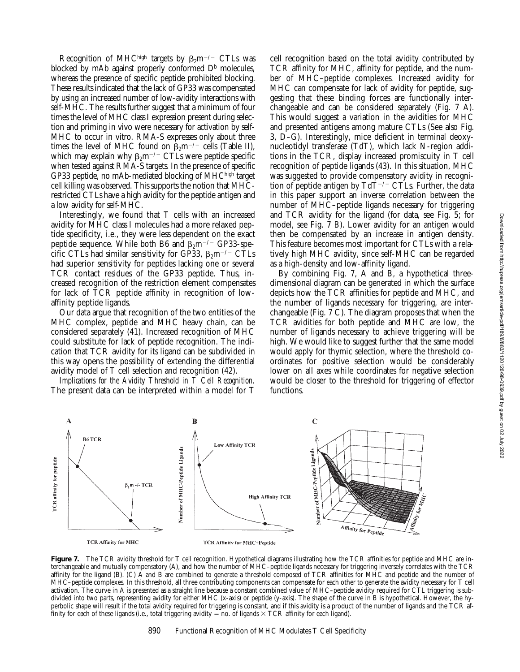Recognition of MHChigh targets by  $\beta_2$ m<sup>-/-</sup> CTLs was blocked by mAb against properly conformed  $D<sup>b</sup>$  molecules, whereas the presence of specific peptide prohibited blocking. These results indicated that the lack of GP33 was compensated by using an increased number of low-avidity interactions with self-MHC. The results further suggest that a minimum of four times the level of MHC class I expression present during selection and priming in vivo were necessary for activation by self-MHC to occur in vitro. RMA-S expresses only about three times the level of MHC found on  $\beta_2$ m<sup>-/-</sup> cells (Table II), which may explain why  $\beta_2 m^{-/-}$  CTLs were peptide specific when tested against RMA-S targets. In the presence of specific GP33 peptide, no mAb-mediated blocking of MHChigh target cell killing was observed. This supports the notion that MHCrestricted CTLs have a high avidity for the peptide antigen and a low avidity for self-MHC.

Interestingly, we found that T cells with an increased avidity for MHC class I molecules had a more relaxed peptide specificity, i.e., they were less dependent on the exact peptide sequence. While both B6 and  $\beta_2$ m<sup>-/-</sup> GP33-specific CTLs had similar sensitivity for GP33,  $\beta_2$ m<sup>-/-</sup> CTLs had superior sensitivity for peptides lacking one or several TCR contact residues of the GP33 peptide. Thus, increased recognition of the restriction element compensates for lack of TCR peptide affinity in recognition of lowaffinity peptide ligands.

Our data argue that recognition of the two entities of the MHC complex, peptide and MHC heavy chain, can be considered separately (41). Increased recognition of MHC could substitute for lack of peptide recognition. The indication that TCR avidity for its ligand can be subdivided in this way opens the possibility of extending the differential avidity model of T cell selection and recognition (42).

*Implications for the Avidity Threshold in T Cell Recognition.* The present data can be interpreted within a model for T cell recognition based on the total avidity contributed by TCR affinity for MHC, affinity for peptide, and the number of MHC–peptide complexes. Increased avidity for MHC can compensate for lack of avidity for peptide, suggesting that these binding forces are functionally interchangeable and can be considered separately (Fig. 7 A). This would suggest a variation in the avidities for MHC and presented antigens among mature CTLs (See also Fig. 3, D–G). Interestingly, mice deficient in terminal deoxynucleotidyl transferase (TdT), which lack N-region additions in the TCR, display increased promiscuity in T cell recognition of peptide ligands (43). In this situation, MHC was suggested to provide compensatory avidity in recognition of peptide antigen by  $T dT^{-/-} CTLs$ . Further, the data in this paper support an inverse correlation between the number of MHC–peptide ligands necessary for triggering and TCR avidity for the ligand (for data, see Fig. 5; for model, see Fig. 7 B). Lower avidity for an antigen would then be compensated by an increase in antigen density. This feature becomes most important for CTLs with a relatively high MHC avidity, since self-MHC can be regarded as a high-density and low-affinity ligand.

By combining Fig. 7, A and B, a hypothetical threedimensional diagram can be generated in which the surface depicts how the TCR affinities for peptide and MHC, and the number of ligands necessary for triggering, are interchangeable (Fig.  $7 \text{ C}$ ). The diagram proposes that when the TCR avidities for both peptide and MHC are low, the number of ligands necessary to achieve triggering will be high. We would like to suggest further that the same model would apply for thymic selection, where the threshold coordinates for positive selection would be considerably lower on all axes while coordinates for negative selection would be closer to the threshold for triggering of effector functions.



Figure 7. The TCR avidity threshold for T cell recognition. Hypothetical diagrams illustrating how the TCR affinities for peptide and MHC are interchangeable and mutually compensatory (A), and how the number of MHC–peptide ligands necessary for triggering inversely correlates with the TCR affinity for the ligand (B). (C) A and B are combined to generate a threshold composed of TCR affinities for MHC and peptide and the number of MHC–peptide complexes. In this threshold, all three contributing components can compensate for each other to generate the avidity necessary for T cell activation. The curve in A is presented as a straight line because a constant combined value of MHC–peptide avidity required for CTL triggering is subdivided into two parts, representing avidity for either MHC (x-axis) or peptide (y-axis). The shape of the curve in B is hypothetical. However, the hyperbolic shape will result if the total avidity required for triggering is constant, and if this avidity is a product of the number of ligands and the TCR affinity for each of these ligands (i.e., total triggering avidity = no. of ligands  $\times$  TCR affinity for each ligand).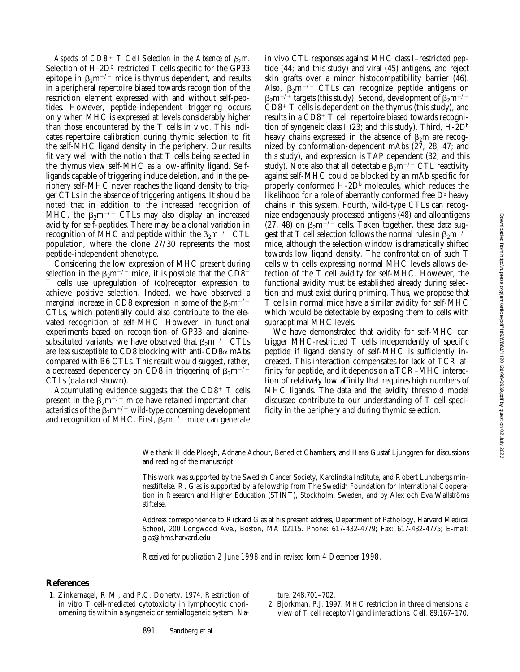*Aspects of CD8<sup>+</sup> T Cell Selection in the Absence of*  $\beta_2$ *m.* Selection of  $H$ -2D<sup>b</sup>–restricted T cells specific for the GP33 epitope in  $\beta_2 m^{-1}$  mice is thymus dependent, and results in a peripheral repertoire biased towards recognition of the restriction element expressed with and without self-peptides. However, peptide-independent triggering occurs only when MHC is expressed at levels considerably higher than those encountered by the T cells in vivo. This indicates repertoire calibration during thymic selection to fit the self-MHC ligand density in the periphery. Our results fit very well with the notion that T cells being selected in the thymus view self-MHC as a low-affinity ligand. Selfligands capable of triggering induce deletion, and in the periphery self-MHC never reaches the ligand density to trigger CTLs in the absence of triggering antigens. It should be noted that in addition to the increased recognition of MHC, the  $\beta_2 m^{-/-}$  CTLs may also display an increased avidity for self-peptides. There may be a clonal variation in recognition of MHC and peptide within the  $\beta_2$ m<sup>-/-</sup> CTL population, where the clone 27/30 represents the most peptide-independent phenotype.

Considering the low expression of MHC present during selection in the  $\beta_2$ m<sup>-/-</sup> mice, it is possible that the CD8<sup>+</sup> T cells use upregulation of (co)receptor expression to achieve positive selection. Indeed, we have observed a marginal increase in CD8 expression in some of the  $\beta_2$ m<sup>-/-</sup> CTLs, which potentially could also contribute to the elevated recognition of self-MHC. However, in functional experiments based on recognition of GP33 and alaninesubstituted variants, we have observed that  $\beta_2 m^{-1}$  CTLs are less susceptible to CD8 blocking with anti-CD8 $\alpha$  mAbs compared with B6 CTLs. This result would suggest, rather, a decreased dependency on CD8 in triggering of  $\beta_2$ m<sup>-/-</sup> CTLs (data not shown).

Accumulating evidence suggests that the  $CD8^+$  T cells present in the  $\beta_2 m^{-1}$  mice have retained important characteristics of the  $\beta_2m^{+/+}$  wild-type concerning development and recognition of MHC. First,  $\beta_2 m^{-/-}$  mice can generate

in vivo CTL responses against MHC class I–restricted peptide (44; and this study) and viral (45) antigens, and reject skin grafts over a minor histocompatibility barrier (46). Also,  $\beta_2 m^{-/-}$  CTLs can recognize peptide antigens on  $\beta_2$ m<sup>+/+</sup> targets (this study). Second, development of  $\beta_2$ m<sup>-/-</sup>  $CD8^+$  T cells is dependent on the thymus (this study), and results in a  $CD8^+$  T cell repertoire biased towards recognition of syngeneic class I (23; and this study). Third,  $H$ -2 $D^b$ heavy chains expressed in the absence of  $\beta_2$ m are recognized by conformation-dependent mAbs (27, 28, 47; and this study), and expression is TAP dependent (32; and this study). Note also that all detectable  $\beta_2 m^{-/-}$  CTL reactivity against self-MHC could be blocked by an mAb specific for properly conformed  $H-2D<sup>b</sup>$  molecules, which reduces the likelihood for a role of aberrantly conformed free  $D<sup>b</sup>$  heavy chains in this system. Fourth, wild-type CTLs can recognize endogenously processed antigens (48) and alloantigens (27, 48) on  $\beta_2 m^{-1}$  cells. Taken together, these data suggest that T cell selection follows the normal rules in  $\beta_2 m^{-1}$ mice, although the selection window is dramatically shifted towards low ligand density. The confrontation of such T cells with cells expressing normal MHC levels allows detection of the T cell avidity for self-MHC. However, the functional avidity must be established already during selection and must exist during priming. Thus, we propose that T cells in normal mice have a similar avidity for self-MHC which would be detectable by exposing them to cells with supraoptimal MHC levels.

We have demonstrated that avidity for self-MHC can trigger MHC-restricted T cells independently of specific peptide if ligand density of self-MHC is sufficiently increased. This interaction compensates for lack of TCR affinity for peptide, and it depends on a TCR–MHC interaction of relatively low affinity that requires high numbers of MHC ligands. The data and the avidity threshold model discussed contribute to our understanding of T cell specificity in the periphery and during thymic selection.

We thank Hidde Ploegh, Adnane Achour, Benedict Chambers, and Hans-Gustaf Ljunggren for discussions and reading of the manuscript.

This work was supported by the Swedish Cancer Society, Karolinska Institute, and Robert Lundbergs minnesstiftelse. R. Glas is supported by a fellowship from The Swedish Foundation for International Cooperation in Research and Higher Education (STINT), Stockholm, Sweden, and by Alex och Eva Wallströms stiftelse.

Address correspondence to Rickard Glas at his present address, Department of Pathology, Harvard Medical School, 200 Longwood Ave., Boston, MA 02115. Phone: 617-432-4779; Fax: 617-432-4775; E-mail: glas@hms.harvard.edu

*Received for publication 2 June 1998 and in revised form 4 December 1998.*

# **References**

1. Zinkernagel, R.M., and P.C. Doherty. 1974. Restriction of in vitro T cell-mediated cytotoxicity in lymphocytic choriomeningitis within a syngeneic or semiallogeneic system. *Na-* *ture.* 248:701–702.

2. Bjorkman, P.J. 1997. MHC restriction in three dimensions: a view of T cell receptor/ligand interactions. *Cell.* 89:167–170.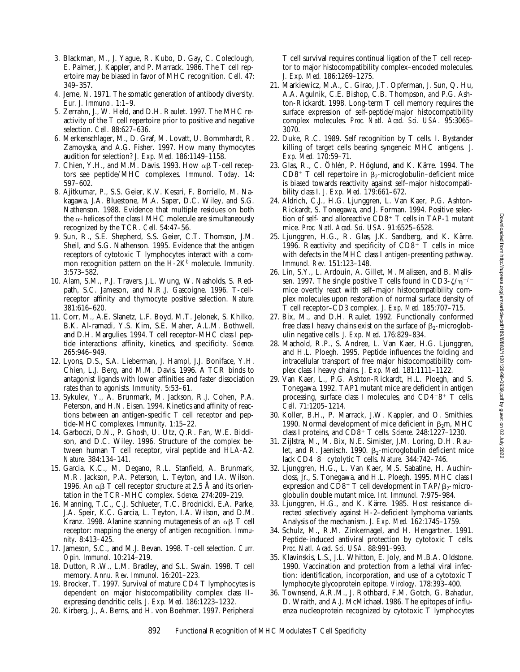- 3. Blackman, M., J. Yague, R. Kubo, D. Gay, C. Coleclough, E. Palmer, J. Kappler, and P. Marrack. 1986. The T cell repertoire may be biased in favor of MHC recognition. *Cell.* 47: 349–357.
- 4. Jerne, N. 1971. The somatic generation of antibody diversity. *Eur. J. Immunol.* 1:1–9.
- 5. Zerrahn, J., W. Held, and D.H. Raulet. 1997. The MHC reactivity of the T cell repertoire prior to positive and negative selection. *Cell.* 88:627–636.
- 6. Merkenschlager, M., D. Graf, M. Lovatt, U. Bommhardt, R. Zamoyska, and A.G. Fisher. 1997. How many thymocytes audition for selection? *J. Exp. Med.* 186:1149–1158.
- 7. Chien, Y.H., and M.M. Davis. 1993. How  $\alpha\beta$  T-cell receptors see peptide/MHC complexes. *Immunol. Today.* 14: 597–602.
- 8. Ajitkumar, P., S.S. Geier, K.V. Kesari, F. Borriello, M. Nakagawa, J.A. Bluestone, M.A. Saper, D.C. Wiley, and S.G. Nathenson. 1988. Evidence that multiple residues on both the  $\alpha$ -helices of the class I MHC molecule are simultaneously recognized by the TCR. *Cell.* 54:47–56.
- 9. Sun, R., S.E. Shepherd, S.S. Geier, C.T. Thomson, J.M. Sheil, and S.G. Nathenson. 1995. Evidence that the antigen receptors of cytotoxic T lymphocytes interact with a common recognition pattern on the H-2K<sup>b</sup> molecule. *Immunity*. 3:573–582.
- 10. Alam, S.M., P.J. Travers, J.L. Wung, W. Nasholds, S. Redpath, S.C. Jameson, and N.R.J. Gascoigne. 1996. T-cellreceptor affinity and thymocyte positive selection. *Nature.* 381:616–620.
- 11. Corr, M., A.E. Slanetz, L.F. Boyd, M.T. Jelonek, S. Khilko, B.K. Al-ramadi, Y.S. Kim, S.E. Maher, A.L.M. Bothwell, and D.H. Margulies. 1994. T cell receptor-MHC class I peptide interactions: affinity, kinetics, and specificity. *Science.* 265:946–949.
- 12. Lyons, D.S., S.A. Lieberman, J. Hampl, J.J. Boniface, Y.H. Chien, L.J. Berg, and M.M. Davis. 1996. A TCR binds to antagonist ligands with lower affinities and faster dissociation rates than to agonists. *Immunity.* 5:53–61.
- 13. Sykulev, Y., A. Brunmark, M. Jackson, R.J. Cohen, P.A. Peterson, and H.N. Eisen. 1994. Kinetics and affinity of reactions between an antigen-specific T cell receptor and peptide-MHC complexes. *Immunity.* 1:15–22.
- 14. Garboczi, D.N., P. Ghosh, U. Utz, Q.R. Fan, W.E. Biddison, and D.C. Wiley. 1996. Structure of the complex between human T cell receptor, viral peptide and HLA-A2. *Nature.* 384:134–141.
- 15. Garcia, K.C., M. Degano, R.L. Stanfield, A. Brunmark, M.R. Jackson, P.A. Peterson, L. Teyton, and I.A. Wilson. 1996. An  $\alpha\beta$  T cell receptor structure at 2.5 Å and its orientation in the TCR-MHC complex. *Science.* 274:209–219.
- 16. Manning, T.C., C.J. Schlueter, T.C. Brodnicki, E.A. Parke, J.A. Speir, K.C. Garcia, L. Teyton, I.A. Wilson, and D.M. Kranz. 1998. Alanine scanning mutagenesis of an  $\alpha\beta$  T cell receptor: mapping the energy of antigen recognition. *Immunity.* 8:413–425.
- 17. Jameson, S.C., and M.J. Bevan. 1998. T-cell selection. *Curr. Opin. Immunol.* 10:214–219.
- 18. Dutton, R.W., L.M. Bradley, and S.L. Swain. 1998. T cell memory. *Annu. Rev. Immunol.* 16:201–223.
- 19. Brocker, T. 1997. Survival of mature CD4 T lymphocytes is dependent on major histocompatibility complex class II– expressing dendritic cells. *J. Exp. Med.* 186:1223–1232.
- 20. Kirberg, J., A. Berns, and H. von Boehmer. 1997. Peripheral

T cell survival requires continual ligation of the T cell receptor to major histocompatibility complex–encoded molecules. *J. Exp. Med.* 186:1269–1275.

- 21. Markiewicz, M.A., C. Girao, J.T. Opferman, J. Sun, Q. Hu, A.A. Agulnik, C.E. Bishop, C.B. Thompson, and P.G. Ashton-Rickardt. 1998. Long-term T cell memory requires the surface expression of self-peptide/major histocompatibility complex molecules. *Proc. Natl. Acad. Sci. USA.* 95:3065– 3070.
- 22. Duke, R.C. 1989. Self recognition by T cells. I. Bystander killing of target cells bearing syngeneic MHC antigens. *J. Exp. Med.* 170:59–71.
- 23. Glas, R., C. Öhlén, P. Höglund, and K. Kärre. 1994. The CD8<sup>+</sup> T cell repertoire in  $\beta_2$ -microglobulin–deficient mice is biased towards reactivity against self–major histocompatibility class I. *J. Exp. Med.* 179:661–672.
- 24. Aldrich, C.J., H.G. Ljunggren, L. Van Kaer, P.G. Ashton-Rickardt, S. Tonegawa, and J. Forman. 1994. Positive selection of self- and alloreactive  $CD8^+$  T cells in TAP-1 mutant mice. *Proc. Natl. Acad. Sci. USA.* 91:6525–6528.
- 25. Ljunggren, H.G., R. Glas, J.K. Sandberg, and K. Kärre. 1996. Reactivity and specificity of  $CD8^{\frac{1}{1}}$  T cells in mice with defects in the MHC class I antigen-presenting pathway. *Immunol. Rev.* 151:123–148.
- 26. Lin, S.Y., L. Ardouin, A. Gillet, M. Malissen, and B. Malissen. 1997. The single positive T cells found in CD3- $\zeta/\eta^{-/-}$ mice overtly react with self–major histocompatibility complex molecules upon restoration of normal surface density of T cell receptor–CD3 complex. *J. Exp. Med.* 185:707–715.
- 27. Bix, M., and D.H. Raulet. 1992. Functionally conformed free class I heavy chains exist on the surface of  $\beta_2$ -microglobulin negative cells. *J. Exp. Med.* 176:829–834.
- 28. Machold, R.P., S. Andree, L. Van Kaer, H.G. Ljunggren, and H.L. Ploegh. 1995. Peptide influences the folding and intracellular transport of free major histocompatibility complex class I heavy chains. *J. Exp. Med.* 181:1111–1122.
- 29. Van Kaer, L., P.G. Ashton-Rickardt, H.L. Ploegh, and S. Tonegawa. 1992. TAP1 mutant mice are deficient in antigen processing, surface class I molecules, and  $CD4-8^+$  T cells. *Cell.* 71:1205–1214.
- 30. Koller, B.H., P. Marrack, J.W. Kappler, and O. Smithies. 1990. Normal development of mice deficient in  $\beta_2$ m, MHC class I proteins, and CD8<sup>1</sup> T cells. *Science.* 248:1227–1230.
- 31. Zijlstra, M., M. Bix, N.E. Simister, J.M. Loring, D.H. Raulet, and R. Jaenisch. 1990.  $\beta_2$ -microglobulin deficient mice lack CD4<sup>2</sup>8<sup>1</sup> cytolytic T cells. *Nature.* 344:742–746.
- 32. Ljunggren, H.G., L. Van Kaer, M.S. Sabatine, H. Auchincloss, Jr., S. Tonegawa, and H.L. Ploegh. 1995. MHC class I expression and CD8<sup>+</sup> T cell development in TAP/ $\beta$ <sub>2</sub>-microglobulin double mutant mice. *Int. Immunol.* 7:975–984.
- 33. Ljunggren, H.G., and K. Kärre. 1985. Host resistance directed selectively against H-2–deficient lymphoma variants. Analysis of the mechanism. *J. Exp. Med.* 162:1745–1759.
- 34. Schulz, M., R.M. Zinkernagel, and H. Hengartner. 1991. Peptide-induced antiviral protection by cytotoxic T cells. *Proc. Natl. Acad. Sci. USA.* 88:991–993.
- 35. Klavinskis, L.S., J.L. Whitton, E. Joly, and M.B.A. Oldstone. 1990. Vaccination and protection from a lethal viral infection: identification, incorporation, and use of a cytotoxic T lymphocyte glycoprotein epitope. *Virology.* 178:393–400.
- 36. Townsend, A.R.M., J. Rothbard, F.M. Gotch, G. Bahadur, D. Wraith, and A.J. McMichael. 1986. The epitopes of influenza nucleoprotein recognized by cytotoxic T lymphocytes